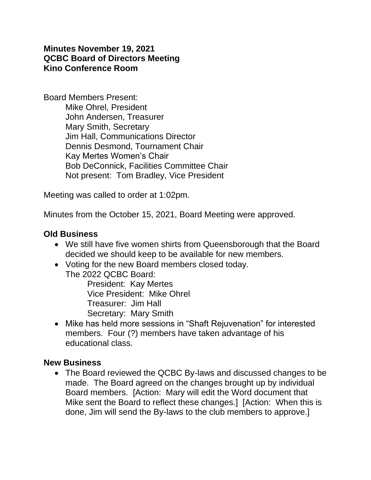### **Minutes November 19, 2021 QCBC Board of Directors Meeting Kino Conference Room**

Board Members Present: Mike Ohrel, President John Andersen, Treasurer Mary Smith, Secretary Jim Hall, Communications Director Dennis Desmond, Tournament Chair Kay Mertes Women's Chair Bob DeConnick, Facilities Committee Chair Not present: Tom Bradley, Vice President

Meeting was called to order at 1:02pm.

Minutes from the October 15, 2021, Board Meeting were approved.

### **Old Business**

- We still have five women shirts from Queensborough that the Board decided we should keep to be available for new members.
- Voting for the new Board members closed today. The 2022 QCBC Board:

President: Kay Mertes Vice President: Mike Ohrel Treasurer: Jim Hall Secretary: Mary Smith

• Mike has held more sessions in "Shaft Rejuvenation" for interested members. Four (?) members have taken advantage of his educational class.

### **New Business**

• The Board reviewed the QCBC By-laws and discussed changes to be made. The Board agreed on the changes brought up by individual Board members. [Action: Mary will edit the Word document that Mike sent the Board to reflect these changes.] [Action: When this is done, Jim will send the By-laws to the club members to approve.]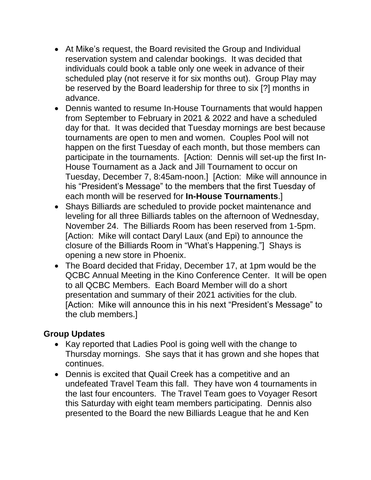- At Mike's request, the Board revisited the Group and Individual reservation system and calendar bookings. It was decided that individuals could book a table only one week in advance of their scheduled play (not reserve it for six months out). Group Play may be reserved by the Board leadership for three to six [?] months in advance.
- Dennis wanted to resume In-House Tournaments that would happen from September to February in 2021 & 2022 and have a scheduled day for that. It was decided that Tuesday mornings are best because tournaments are open to men and women. Couples Pool will not happen on the first Tuesday of each month, but those members can participate in the tournaments. [Action: Dennis will set-up the first In-House Tournament as a Jack and Jill Tournament to occur on Tuesday, December 7, 8:45am-noon.] [Action: Mike will announce in his "President's Message" to the members that the first Tuesday of each month will be reserved for **In-House Tournaments**.]
- Shays Billiards are scheduled to provide pocket maintenance and leveling for all three Billiards tables on the afternoon of Wednesday, November 24. The Billiards Room has been reserved from 1-5pm. [Action: Mike will contact Daryl Laux (and Epi) to announce the closure of the Billiards Room in "What's Happening."] Shays is opening a new store in Phoenix.
- The Board decided that Friday, December 17, at 1pm would be the QCBC Annual Meeting in the Kino Conference Center. It will be open to all QCBC Members. Each Board Member will do a short presentation and summary of their 2021 activities for the club. [Action: Mike will announce this in his next "President's Message" to the club members.]

## **Group Updates**

- Kay reported that Ladies Pool is going well with the change to Thursday mornings. She says that it has grown and she hopes that continues.
- Dennis is excited that Quail Creek has a competitive and an undefeated Travel Team this fall. They have won 4 tournaments in the last four encounters. The Travel Team goes to Voyager Resort this Saturday with eight team members participating. Dennis also presented to the Board the new Billiards League that he and Ken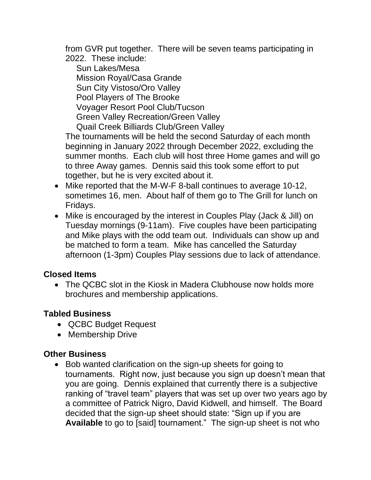from GVR put together. There will be seven teams participating in 2022. These include:

Sun Lakes/Mesa Mission Royal/Casa Grande Sun City Vistoso/Oro Valley Pool Players of The Brooke Voyager Resort Pool Club/Tucson Green Valley Recreation/Green Valley Quail Creek Billiards Club/Green Valley

The tournaments will be held the second Saturday of each month beginning in January 2022 through December 2022, excluding the summer months. Each club will host three Home games and will go to three Away games. Dennis said this took some effort to put together, but he is very excited about it.

- Mike reported that the M-W-F 8-ball continues to average 10-12, sometimes 16, men. About half of them go to The Grill for lunch on Fridays.
- Mike is encouraged by the interest in Couples Play (Jack & Jill) on Tuesday mornings (9-11am). Five couples have been participating and Mike plays with the odd team out. Individuals can show up and be matched to form a team. Mike has cancelled the Saturday afternoon (1-3pm) Couples Play sessions due to lack of attendance.

# **Closed Items**

• The QCBC slot in the Kiosk in Madera Clubhouse now holds more brochures and membership applications.

# **Tabled Business**

- QCBC Budget Request
- Membership Drive

## **Other Business**

• Bob wanted clarification on the sign-up sheets for going to tournaments. Right now, just because you sign up doesn't mean that you are going. Dennis explained that currently there is a subjective ranking of "travel team" players that was set up over two years ago by a committee of Patrick Nigro, David Kidwell, and himself. The Board decided that the sign-up sheet should state: "Sign up if you are **Available** to go to [said] tournament." The sign-up sheet is not who